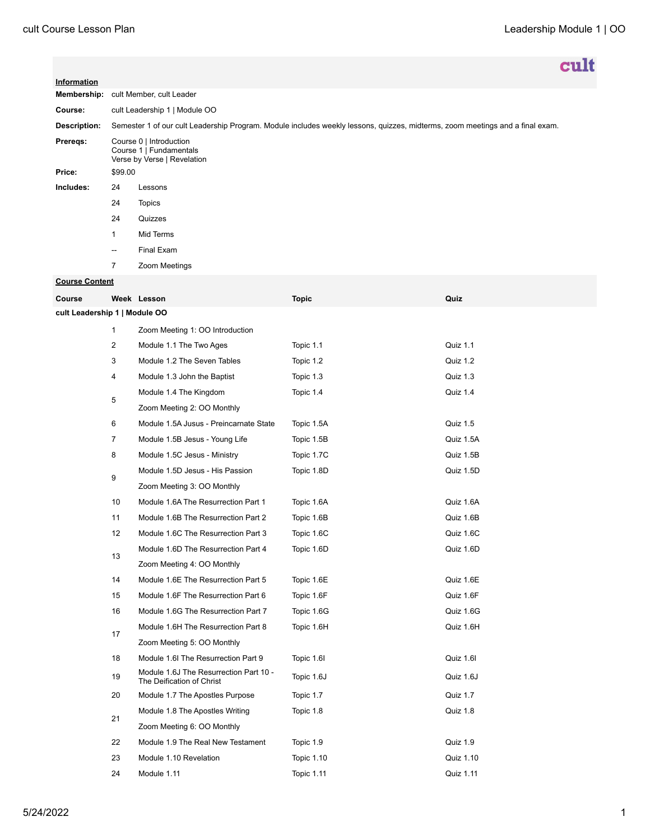|              |                                                                                                                               | cult          |  |  |  |
|--------------|-------------------------------------------------------------------------------------------------------------------------------|---------------|--|--|--|
| Information  |                                                                                                                               |               |  |  |  |
| Membership:  | cult Member, cult Leader                                                                                                      |               |  |  |  |
| Course:      | cult Leadership 1   Module OO                                                                                                 |               |  |  |  |
| Description: | Semester 1 of our cult Leadership Program. Module includes weekly lessons, quizzes, midterms, zoom meetings and a final exam. |               |  |  |  |
| Preregs:     | Course 0   Introduction<br>Course 1   Fundamentals<br>Verse by Verse   Revelation                                             |               |  |  |  |
| Price:       | \$99.00                                                                                                                       |               |  |  |  |
| Includes:    | 24                                                                                                                            | Lessons       |  |  |  |
|              | 24                                                                                                                            | Topics        |  |  |  |
|              | 24                                                                                                                            | Quizzes       |  |  |  |
|              | 1                                                                                                                             | Mid Terms     |  |  |  |
|              | $\overline{\phantom{a}}$                                                                                                      | Final Exam    |  |  |  |
|              | $\overline{7}$                                                                                                                | Zoom Meetings |  |  |  |

## **Course Content**

| Course                        |                | Week Lesson                                                         | <b>Topic</b>      | Quiz      |  |  |  |
|-------------------------------|----------------|---------------------------------------------------------------------|-------------------|-----------|--|--|--|
| cult Leadership 1   Module OO |                |                                                                     |                   |           |  |  |  |
|                               | $\mathbf{1}$   | Zoom Meeting 1: OO Introduction                                     |                   |           |  |  |  |
|                               | $\overline{2}$ | Module 1.1 The Two Ages                                             | Topic 1.1         | Quiz 1.1  |  |  |  |
|                               | 3              | Module 1.2 The Seven Tables                                         | Topic 1.2         | Quiz 1.2  |  |  |  |
|                               | 4              | Module 1.3 John the Baptist                                         | Topic 1.3         | Quiz 1.3  |  |  |  |
|                               | 5              | Module 1.4 The Kingdom                                              | Topic 1.4         | Quiz 1.4  |  |  |  |
|                               |                | Zoom Meeting 2: OO Monthly                                          |                   |           |  |  |  |
|                               | 6              | Module 1.5A Jusus - Preincarnate State                              | Topic 1.5A        | Quiz 1.5  |  |  |  |
|                               | $\overline{7}$ | Module 1.5B Jesus - Young Life                                      | Topic 1.5B        | Quiz 1.5A |  |  |  |
|                               | 8              | Module 1.5C Jesus - Ministry                                        | Topic 1.7C        | Quiz 1.5B |  |  |  |
|                               | 9              | Module 1.5D Jesus - His Passion                                     | Topic 1.8D        | Quiz 1.5D |  |  |  |
|                               |                | Zoom Meeting 3: OO Monthly                                          |                   |           |  |  |  |
|                               | 10             | Module 1.6A The Resurrection Part 1                                 | Topic 1.6A        | Quiz 1.6A |  |  |  |
|                               | 11             | Module 1.6B The Resurrection Part 2                                 | Topic 1.6B        | Quiz 1.6B |  |  |  |
|                               | 12             | Module 1.6C The Resurrection Part 3                                 | Topic 1.6C        | Quiz 1.6C |  |  |  |
|                               | 13             | Module 1.6D The Resurrection Part 4                                 | Topic 1.6D        | Quiz 1.6D |  |  |  |
|                               |                | Zoom Meeting 4: OO Monthly                                          |                   |           |  |  |  |
|                               | 14             | Module 1.6E The Resurrection Part 5                                 | Topic 1.6E        | Quiz 1.6E |  |  |  |
|                               | 15             | Module 1.6F The Resurrection Part 6                                 | Topic 1.6F        | Quiz 1.6F |  |  |  |
|                               | 16             | Module 1.6G The Resurrection Part 7                                 | Topic 1.6G        | Quiz 1.6G |  |  |  |
|                               | 17             | Module 1.6H The Resurrection Part 8                                 | Topic 1.6H        | Quiz 1.6H |  |  |  |
|                               |                | Zoom Meeting 5: OO Monthly                                          |                   |           |  |  |  |
|                               | 18             | Module 1.6I The Resurrection Part 9                                 | Topic 1.6I        | Quiz 1.6I |  |  |  |
|                               | 19             | Module 1.6J The Resurrection Part 10 -<br>The Deification of Christ | Topic 1.6J        | Quiz 1.6J |  |  |  |
|                               | 20             | Module 1.7 The Apostles Purpose                                     | Topic 1.7         | Quiz 1.7  |  |  |  |
|                               | 21             | Module 1.8 The Apostles Writing                                     | Topic 1.8         | Quiz 1.8  |  |  |  |
|                               |                | Zoom Meeting 6: OO Monthly                                          |                   |           |  |  |  |
|                               | 22             | Module 1.9 The Real New Testament                                   | Topic 1.9         | Quiz 1.9  |  |  |  |
|                               | 23             | Module 1.10 Revelation                                              | <b>Topic 1.10</b> | Quiz 1.10 |  |  |  |
|                               | 24             | Module 1.11                                                         | <b>Topic 1.11</b> | Quiz 1.11 |  |  |  |